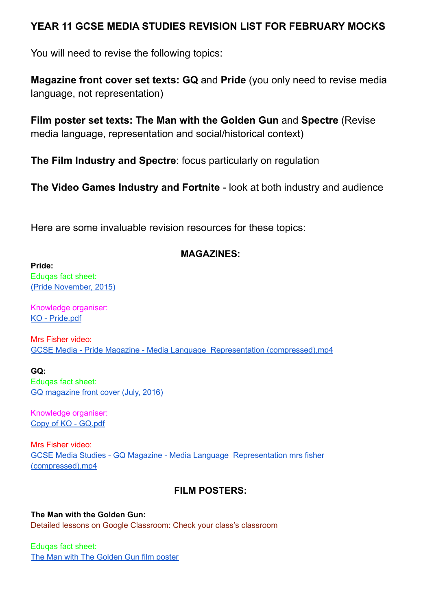## **YEAR 11 GCSE MEDIA STUDIES REVISION LIST FOR FEBRUARY MOCKS**

You will need to revise the following topics:

**Magazine front cover set texts: GQ** and **Pride** (you only need to revise media language, not representation)

**Film poster set texts: The Man with the Golden Gun** and **Spectre** (Revise media language, representation and social/historical context)

**The Film Industry and Spectre**: focus particularly on regulation

**The Video Games Industry and Fortnite** - look at both industry and audience

Here are some invaluable revision resources for these topics:

## **MAGAZINES:**

**Pride:**

Eduqas fact sheet: (Pride [November,](http://resource.download.wjec.co.uk.s3.amazonaws.com/vtc/2016-17/16-17_1-26/Pride.pdf) 2015)

Knowledge organiser: KO - [Pride.pdf](https://drive.google.com/file/d/12HQG7UuZP1SilNsLgJxbbcX01rr4ad-F/view?usp=sharing)

Mrs Fisher video: GCSE Media - Pride Magazine - Media Language Representation [\(compressed\).mp4](https://drive.google.com/file/d/1EIDT_BfI0I5YopDVfDkZWurlWLVCjapn/view?usp=sharing)

**GQ:** Eduqas fact sheet: GQ [magazine](http://resource.download.wjec.co.uk.s3.amazonaws.com/vtc/2016-17/16-17_1-26/GQ.pdf) front cover (July, 2016)

Knowledge organiser: Copy of KO - [GQ.pdf](https://drive.google.com/file/d/1Ap_aEwOwQ2eJYHSmztJjJi4dj2sKRNSB/view?usp=sharing)

Mrs Fisher video: GCSE Media Studies - GQ Magazine - Media Language [Representation](https://drive.google.com/file/d/1ENysN_NCeLLuzCTXvdK3EmxoXzNDDM_8/view?usp=sharing) mrs fisher [\(compressed\).mp4](https://drive.google.com/file/d/1ENysN_NCeLLuzCTXvdK3EmxoXzNDDM_8/view?usp=sharing)

# **FILM POSTERS:**

**The Man with the Golden Gun:** Detailed lessons on Google Classroom: Check your class's classroom

Eduqas fact sheet: The Man with The [Golden](http://resource.download.wjec.co.uk.s3.amazonaws.com/vtc/2016-17/16-17_1-26/Bond.pdf) Gun film poster